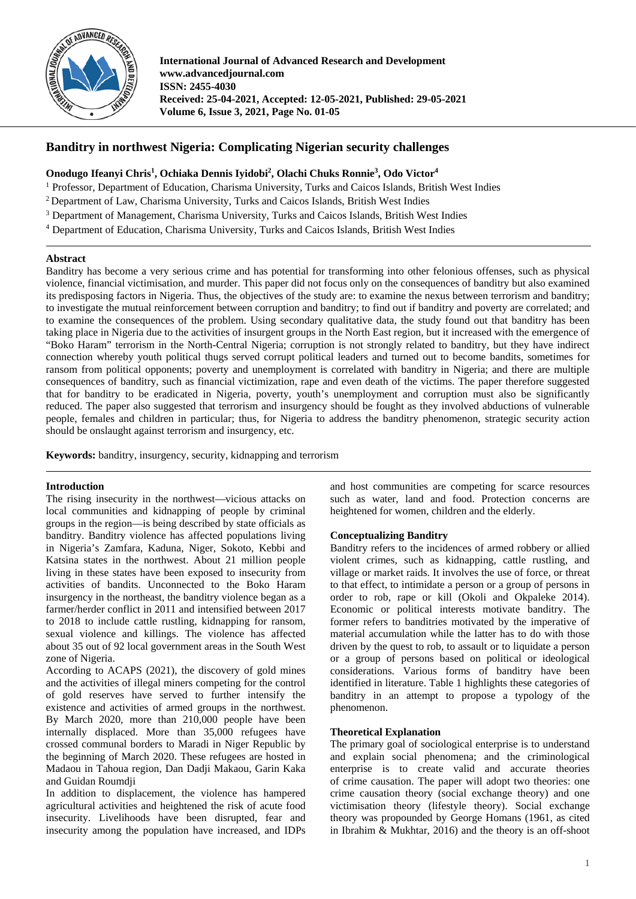

**International Journal of Advanced Research and Development www.advancedjournal.com ISSN: 2455-4030 Received: 25-04-2021, Accepted: 12-05-2021, Published: 29-05-2021 Volume 6, Issue 3, 2021, Page No. 01-05**

# **Banditry in northwest Nigeria: Complicating Nigerian security challenges**

## **Onodugo Ifeanyi Chris1 , Ochiaka Dennis Iyidobi2 , Olachi Chuks Ronnie3 , Odo Victor4**

<sup>1</sup> Professor, Department of Education, Charisma University, Turks and Caicos Islands, British West Indies

- <sup>2</sup> Department of Law, Charisma University, Turks and Caicos Islands, British West Indies
- <sup>3</sup> Department of Management, Charisma University, Turks and Caicos Islands, British West Indies
- <sup>4</sup> Department of Education, Charisma University, Turks and Caicos Islands, British West Indies

### **Abstract**

Banditry has become a very serious crime and has potential for transforming into other felonious offenses, such as physical violence, financial victimisation, and murder. This paper did not focus only on the consequences of banditry but also examined its predisposing factors in Nigeria. Thus, the objectives of the study are: to examine the nexus between terrorism and banditry; to investigate the mutual reinforcement between corruption and banditry; to find out if banditry and poverty are correlated; and to examine the consequences of the problem. Using secondary qualitative data, the study found out that banditry has been taking place in Nigeria due to the activities of insurgent groups in the North East region, but it increased with the emergence of "Boko Haram" terrorism in the North-Central Nigeria; corruption is not strongly related to banditry, but they have indirect connection whereby youth political thugs served corrupt political leaders and turned out to become bandits, sometimes for ransom from political opponents; poverty and unemployment is correlated with banditry in Nigeria; and there are multiple consequences of banditry, such as financial victimization, rape and even death of the victims. The paper therefore suggested that for banditry to be eradicated in Nigeria, poverty, youth's unemployment and corruption must also be significantly reduced. The paper also suggested that terrorism and insurgency should be fought as they involved abductions of vulnerable people, females and children in particular; thus, for Nigeria to address the banditry phenomenon, strategic security action should be onslaught against terrorism and insurgency, etc.

**Keywords:** banditry, insurgency, security, kidnapping and terrorism

## **Introduction**

The rising insecurity in the northwest—vicious attacks on local communities and kidnapping of people by criminal groups in the region—is being described by state officials as banditry. Banditry violence has affected populations living in Nigeria's Zamfara, Kaduna, Niger, Sokoto, Kebbi and Katsina states in the northwest. About 21 million people living in these states have been exposed to insecurity from activities of bandits. Unconnected to the Boko Haram insurgency in the northeast, the banditry violence began as a farmer/herder conflict in 2011 and intensified between 2017 to 2018 to include cattle rustling, kidnapping for ransom, sexual violence and killings. The violence has affected about 35 out of 92 local government areas in the South West zone of Nigeria.

According to ACAPS (2021), the discovery of gold mines and the activities of illegal miners competing for the control of gold reserves have served to further intensify the existence and activities of armed groups in the northwest. By March 2020, more than 210,000 people have been internally displaced. More than 35,000 refugees have crossed communal borders to Maradi in Niger Republic by the beginning of March 2020. These refugees are hosted in Madaou in Tahoua region, Dan Dadji Makaou, Garin Kaka and Guidan Roumdji

In addition to displacement, the violence has hampered agricultural activities and heightened the risk of acute food insecurity. Livelihoods have been disrupted, fear and insecurity among the population have increased, and IDPs

and host communities are competing for scarce resources such as water, land and food. Protection concerns are heightened for women, children and the elderly.

## **Conceptualizing Banditry**

Banditry refers to the incidences of armed robbery or allied violent crimes, such as kidnapping, cattle rustling, and village or market raids. It involves the use of force, or threat to that effect, to intimidate a person or a group of persons in order to rob, rape or kill (Okoli and Okpaleke 2014). Economic or political interests motivate banditry. The former refers to banditries motivated by the imperative of material accumulation while the latter has to do with those driven by the quest to rob, to assault or to liquidate a person or a group of persons based on political or ideological considerations. Various forms of banditry have been identified in literature. Table 1 highlights these categories of banditry in an attempt to propose a typology of the phenomenon.

## **Theoretical Explanation**

The primary goal of sociological enterprise is to understand and explain social phenomena; and the criminological enterprise is to create valid and accurate theories of crime causation. The paper will adopt two theories: one crime causation theory (social exchange theory) and one victimisation theory (lifestyle theory). Social exchange theory was propounded by George Homans (1961, as cited in Ibrahim & Mukhtar, 2016) and the theory is an off-shoot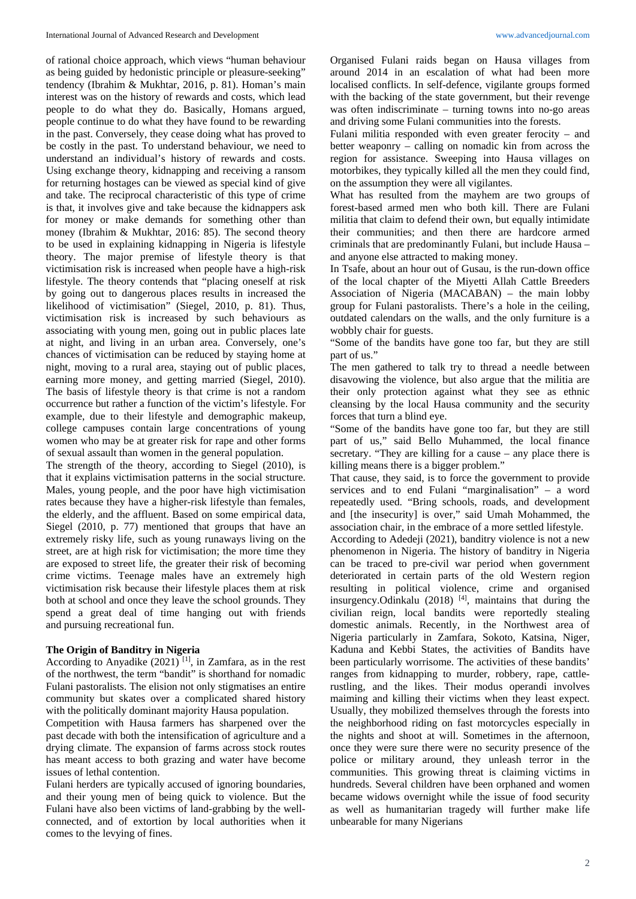of rational choice approach, which views "human behaviour as being guided by hedonistic principle or pleasure-seeking" tendency (Ibrahim & Mukhtar, 2016, p. 81). Homan's main interest was on the history of rewards and costs, which lead people to do what they do. Basically, Homans argued, people continue to do what they have found to be rewarding in the past. Conversely, they cease doing what has proved to be costly in the past. To understand behaviour, we need to understand an individual's history of rewards and costs. Using exchange theory, kidnapping and receiving a ransom for returning hostages can be viewed as special kind of give and take. The reciprocal characteristic of this type of crime is that, it involves give and take because the kidnappers ask for money or make demands for something other than money (Ibrahim & Mukhtar, 2016: 85). The second theory to be used in explaining kidnapping in Nigeria is lifestyle theory. The major premise of lifestyle theory is that victimisation risk is increased when people have a high-risk lifestyle. The theory contends that "placing oneself at risk by going out to dangerous places results in increased the likelihood of victimisation" (Siegel, 2010, p. 81). Thus, victimisation risk is increased by such behaviours as associating with young men, going out in public places late at night, and living in an urban area. Conversely, one's chances of victimisation can be reduced by staying home at night, moving to a rural area, staying out of public places, earning more money, and getting married (Siegel, 2010). The basis of lifestyle theory is that crime is not a random occurrence but rather a function of the victim's lifestyle. For example, due to their lifestyle and demographic makeup, college campuses contain large concentrations of young women who may be at greater risk for rape and other forms of sexual assault than women in the general population.

The strength of the theory, according to Siegel (2010), is that it explains victimisation patterns in the social structure. Males, young people, and the poor have high victimisation rates because they have a higher-risk lifestyle than females, the elderly, and the affluent. Based on some empirical data, Siegel (2010, p. 77) mentioned that groups that have an extremely risky life, such as young runaways living on the street, are at high risk for victimisation; the more time they are exposed to street life, the greater their risk of becoming crime victims. Teenage males have an extremely high victimisation risk because their lifestyle places them at risk both at school and once they leave the school grounds. They spend a great deal of time hanging out with friends and pursuing recreational fun.

### **The Origin of Banditry in Nigeria**

According to Anyadike  $(2021)$ <sup>[1]</sup>, in Zamfara, as in the rest of the northwest, the term "bandit" is shorthand for nomadic Fulani pastoralists. The elision not only stigmatises an entire community but skates over a complicated shared history with the politically dominant majority Hausa population.

Competition with Hausa farmers has sharpened over the past decade with both the intensification of agriculture and a drying climate. The expansion of farms across stock routes has meant access to both grazing and water have become issues of lethal contention.

Fulani herders are typically accused of ignoring boundaries, and their young men of being quick to violence. But the Fulani have also been victims of land-grabbing by the wellconnected, and of extortion by local authorities when it comes to the levying of fines.

Organised Fulani raids began on Hausa villages from around 2014 in an escalation of what had been more localised conflicts. In self-defence, vigilante groups formed with the backing of the state government, but their revenge was often indiscriminate – turning towns into no-go areas and driving some Fulani communities into the forests.

Fulani militia responded with even greater ferocity – and better weaponry – calling on nomadic kin from across the region for assistance. Sweeping into Hausa villages on motorbikes, they typically killed all the men they could find, on the assumption they were all vigilantes.

What has resulted from the mayhem are two groups of forest-based armed men who both kill. There are Fulani militia that claim to defend their own, but equally intimidate their communities; and then there are hardcore armed criminals that are predominantly Fulani, but include Hausa – and anyone else attracted to making money.

In Tsafe, about an hour out of Gusau, is the run-down office of the local chapter of the Miyetti Allah Cattle Breeders Association of Nigeria (MACABAN) – the main lobby group for Fulani pastoralists. There's a hole in the ceiling, outdated calendars on the walls, and the only furniture is a wobbly chair for guests.

"Some of the bandits have gone too far, but they are still part of us."

The men gathered to talk try to thread a needle between disavowing the violence, but also argue that the militia are their only protection against what they see as ethnic cleansing by the local Hausa community and the security forces that turn a blind eye.

"Some of the bandits have gone too far, but they are still part of us," said Bello Muhammed, the local finance secretary. "They are killing for a cause – any place there is killing means there is a bigger problem."

That cause, they said, is to force the government to provide services and to end Fulani "marginalisation" – a word repeatedly used. "Bring schools, roads, and development and [the insecurity] is over," said Umah Mohammed, the association chair, in the embrace of a more settled lifestyle.

According to Adedeji (2021), banditry violence is not a new phenomenon in Nigeria. The history of banditry in Nigeria can be traced to pre-civil war period when government deteriorated in certain parts of the old Western region resulting in political violence, crime and organised insurgency.Odinkalu (2018) [4], maintains that during the civilian reign, local bandits were reportedly stealing domestic animals. Recently, in the Northwest area of Nigeria particularly in Zamfara, Sokoto, Katsina, Niger, Kaduna and Kebbi States, the activities of Bandits have been particularly worrisome. The activities of these bandits' ranges from kidnapping to murder, robbery, rape, cattlerustling, and the likes. Their modus operandi involves maiming and killing their victims when they least expect. Usually, they mobilized themselves through the forests into the neighborhood riding on fast motorcycles especially in the nights and shoot at will. Sometimes in the afternoon, once they were sure there were no security presence of the police or military around, they unleash terror in the communities. This growing threat is claiming victims in hundreds. Several children have been orphaned and women became widows overnight while the issue of food security as well as humanitarian tragedy will further make life unbearable for many Nigerians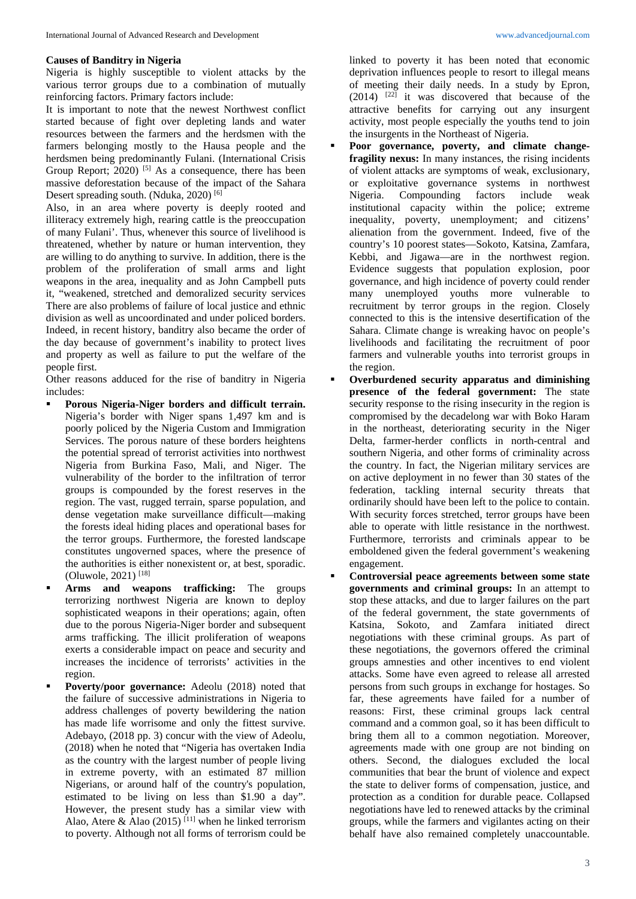#### **Causes of Banditry in Nigeria**

Nigeria is highly susceptible to violent attacks by the various terror groups due to a combination of mutually reinforcing factors. Primary factors include:

It is important to note that the newest Northwest conflict started because of fight over depleting lands and water resources between the farmers and the herdsmen with the farmers belonging mostly to the Hausa people and the herdsmen being predominantly Fulani. (International Crisis Group Report;  $2020$ <sup>[5]</sup> As a consequence, there has been massive deforestation because of the impact of the Sahara Desert spreading south. (Nduka, 2020)<sup>[6]</sup>

Also, in an area where poverty is deeply rooted and illiteracy extremely high, rearing cattle is the preoccupation of many Fulani'. Thus, whenever this source of livelihood is threatened, whether by nature or human intervention, they are willing to do anything to survive. In addition, there is the problem of the proliferation of small arms and light weapons in the area, inequality and as John Campbell puts it, "weakened, stretched and demoralized security services There are also problems of failure of local justice and ethnic division as well as uncoordinated and under policed borders. Indeed, in recent history, banditry also became the order of the day because of government's inability to protect lives and property as well as failure to put the welfare of the people first.

Other reasons adduced for the rise of banditry in Nigeria includes:

- **Porous Nigeria-Niger borders and difficult terrain.**  Nigeria's border with Niger spans 1,497 km and is poorly policed by the Nigeria Custom and Immigration Services. The porous nature of these borders heightens the potential spread of terrorist activities into northwest Nigeria from Burkina Faso, Mali, and Niger. The vulnerability of the border to the infiltration of terror groups is compounded by the forest reserves in the region. The vast, rugged terrain, sparse population, and dense vegetation make surveillance difficult—making the forests ideal hiding places and operational bases for the terror groups. Furthermore, the forested landscape constitutes ungoverned spaces, where the presence of the authorities is either nonexistent or, at best, sporadic. (Oluwole, 2021) [18]
- **Arms and weapons trafficking:** The groups terrorizing northwest Nigeria are known to deploy sophisticated weapons in their operations; again, often due to the porous Nigeria-Niger border and subsequent arms trafficking. The illicit proliferation of weapons exerts a considerable impact on peace and security and increases the incidence of terrorists' activities in the region.
- Poverty/poor governance: Adeolu (2018) noted that the failure of successive administrations in Nigeria to address challenges of poverty bewildering the nation has made life worrisome and only the fittest survive. Adebayo, (2018 pp. 3) concur with the view of Adeolu, (2018) when he noted that "Nigeria has overtaken India as the country with the largest number of people living in extreme poverty, with an estimated 87 million Nigerians, or around half of the country's population, estimated to be living on less than \$1.90 a day". However, the present study has a similar view with Alao, Atere & Alao (2015)<sup>[11]</sup> when he linked terrorism to poverty. Although not all forms of terrorism could be

linked to poverty it has been noted that economic deprivation influences people to resort to illegal means of meeting their daily needs. In a study by Epron,  $(2014)$  <sup>[22]</sup> it was discovered that because of the attractive benefits for carrying out any insurgent activity, most people especially the youths tend to join the insurgents in the Northeast of Nigeria.

- **Poor governance, poverty, and climate changefragility nexus:** In many instances, the rising incidents of violent attacks are symptoms of weak, exclusionary, or exploitative governance systems in northwest Nigeria. Compounding factors include weak institutional capacity within the police; extreme inequality, poverty, unemployment; and citizens' alienation from the government. Indeed, five of the country's 10 poorest states—Sokoto, Katsina, Zamfara, Kebbi, and Jigawa—are in the northwest region. Evidence suggests that population explosion, poor governance, and high incidence of poverty could render many unemployed youths more vulnerable to recruitment by terror groups in the region. Closely connected to this is the intensive desertification of the Sahara. Climate change is wreaking havoc on people's livelihoods and facilitating the recruitment of poor farmers and vulnerable youths into terrorist groups in the region.
- **Overburdened security apparatus and diminishing presence of the federal government:** The state security response to the rising insecurity in the region is compromised by the decadelong war with Boko Haram in the northeast, deteriorating security in the Niger Delta, farmer-herder conflicts in north-central and southern Nigeria, and other forms of criminality across the country. In fact, the Nigerian military services are on active deployment in no fewer than 30 states of the federation, tackling internal security threats that ordinarily should have been left to the police to contain. With security forces stretched, terror groups have been able to operate with little resistance in the northwest. Furthermore, terrorists and criminals appear to be emboldened given the federal government's weakening engagement.
- **Controversial peace agreements between some state governments and criminal groups:** In an attempt to stop these attacks, and due to larger failures on the part of the federal government, the state governments of Katsina, Sokoto, and Zamfara initiated direct negotiations with these criminal groups. As part of these negotiations, the governors offered the criminal groups amnesties and other incentives to end violent attacks. Some have even agreed to release all arrested persons from such groups in exchange for hostages. So far, these agreements have failed for a number of reasons: First, these criminal groups lack central command and a common goal, so it has been difficult to bring them all to a common negotiation. Moreover, agreements made with one group are not binding on others. Second, the dialogues excluded the local communities that bear the brunt of violence and expect the state to deliver forms of compensation, justice, and protection as a condition for durable peace. Collapsed negotiations have led to renewed attacks by the criminal groups, while the farmers and vigilantes acting on their behalf have also remained completely unaccountable.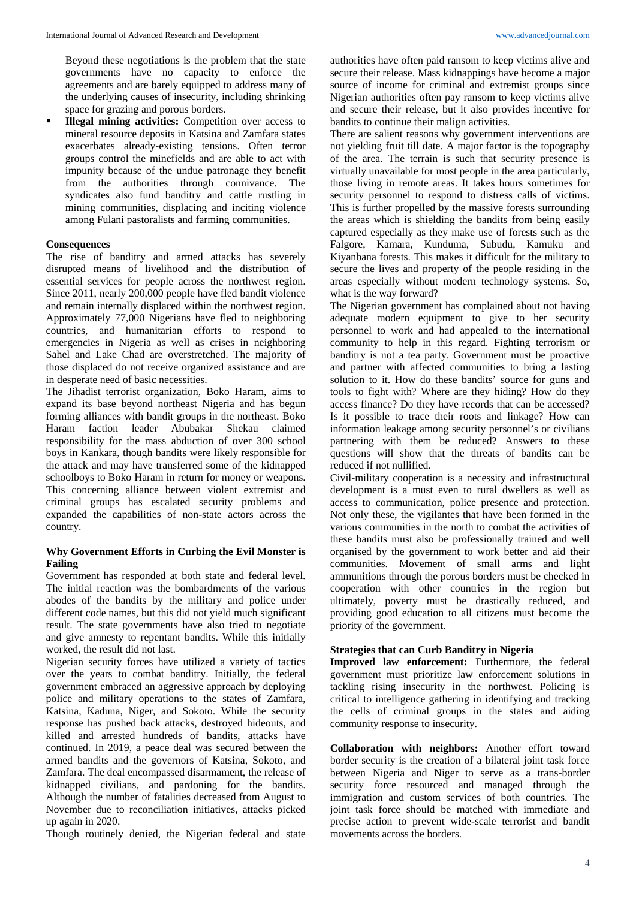Beyond these negotiations is the problem that the state governments have no capacity to enforce the agreements and are barely equipped to address many of the underlying causes of insecurity, including shrinking space for grazing and porous borders.

**Illegal mining activities:** Competition over access to mineral resource deposits in Katsina and Zamfara states exacerbates already-existing tensions. Often terror groups control the minefields and are able to act with impunity because of the undue patronage they benefit from the authorities through connivance. The syndicates also fund banditry and cattle rustling in mining communities, displacing and inciting violence among Fulani pastoralists and farming communities.

### **Consequences**

The rise of banditry and armed attacks has severely disrupted means of livelihood and the distribution of essential services for people across the northwest region. Since 2011, nearly 200,000 people have fled bandit violence and remain internally displaced within the northwest region. Approximately 77,000 Nigerians have fled to neighboring countries, and humanitarian efforts to respond to emergencies in Nigeria as well as crises in neighboring Sahel and Lake Chad are overstretched. The majority of those displaced do not receive organized assistance and are in desperate need of basic necessities.

The Jihadist terrorist organization, Boko Haram, aims to expand its base beyond northeast Nigeria and has begun forming alliances with bandit groups in the northeast. Boko Haram faction leader Abubakar Shekau claimed responsibility for the mass abduction of over 300 school boys in Kankara, though bandits were likely responsible for the attack and may have transferred some of the kidnapped schoolboys to Boko Haram in return for money or weapons. This concerning alliance between violent extremist and criminal groups has escalated security problems and expanded the capabilities of non-state actors across the country.

## **Why Government Efforts in Curbing the Evil Monster is Failing**

Government has responded at both state and federal level. The initial reaction was the bombardments of the various abodes of the bandits by the military and police under different code names, but this did not yield much significant result. The state governments have also tried to negotiate and give amnesty to repentant bandits. While this initially worked, the result did not last.

Nigerian security forces have utilized a variety of tactics over the years to combat banditry. Initially, the federal government embraced an aggressive approach by deploying police and military operations to the states of Zamfara, Katsina, Kaduna, Niger, and Sokoto. While the security response has pushed back attacks, destroyed hideouts, and killed and arrested hundreds of bandits, attacks have continued. In 2019, a peace deal was secured between the armed bandits and the governors of Katsina, Sokoto, and Zamfara. The deal encompassed disarmament, the release of kidnapped civilians, and pardoning for the bandits. Although the number of fatalities decreased from August to November due to reconciliation initiatives, attacks picked up again in 2020.

Though routinely denied, the Nigerian federal and state

authorities have often paid ransom to keep victims alive and secure their release. Mass kidnappings have become a major source of income for criminal and extremist groups since Nigerian authorities often pay ransom to keep victims alive and secure their release, but it also provides incentive for bandits to continue their malign activities.

There are salient reasons why government interventions are not yielding fruit till date. A major factor is the topography of the area. The terrain is such that security presence is virtually unavailable for most people in the area particularly, those living in remote areas. It takes hours sometimes for security personnel to respond to distress calls of victims. This is further propelled by the massive forests surrounding the areas which is shielding the bandits from being easily captured especially as they make use of forests such as the Falgore, Kamara, Kunduma, Subudu, Kamuku and Kiyanbana forests. This makes it difficult for the military to secure the lives and property of the people residing in the areas especially without modern technology systems. So, what is the way forward?

The Nigerian government has complained about not having adequate modern equipment to give to her security personnel to work and had appealed to the international community to help in this regard. Fighting terrorism or banditry is not a tea party. Government must be proactive and partner with affected communities to bring a lasting solution to it. How do these bandits' source for guns and tools to fight with? Where are they hiding? How do they access finance? Do they have records that can be accessed? Is it possible to trace their roots and linkage? How can information leakage among security personnel's or civilians partnering with them be reduced? Answers to these questions will show that the threats of bandits can be reduced if not nullified.

Civil-military cooperation is a necessity and infrastructural development is a must even to rural dwellers as well as access to communication, police presence and protection. Not only these, the vigilantes that have been formed in the various communities in the north to combat the activities of these bandits must also be professionally trained and well organised by the government to work better and aid their communities. Movement of small arms and light ammunitions through the porous borders must be checked in cooperation with other countries in the region but ultimately, poverty must be drastically reduced, and providing good education to all citizens must become the priority of the government.

### **Strategies that can Curb Banditry in Nigeria**

**Improved law enforcement:** Furthermore, the federal government must prioritize law enforcement solutions in tackling rising insecurity in the northwest. Policing is critical to intelligence gathering in identifying and tracking the cells of criminal groups in the states and aiding community response to insecurity.

**Collaboration with neighbors:** Another effort toward border security is the creation of a bilateral joint task force between Nigeria and Niger to serve as a trans-border security force resourced and managed through the immigration and custom services of both countries. The joint task force should be matched with immediate and precise action to prevent wide-scale terrorist and bandit movements across the borders.